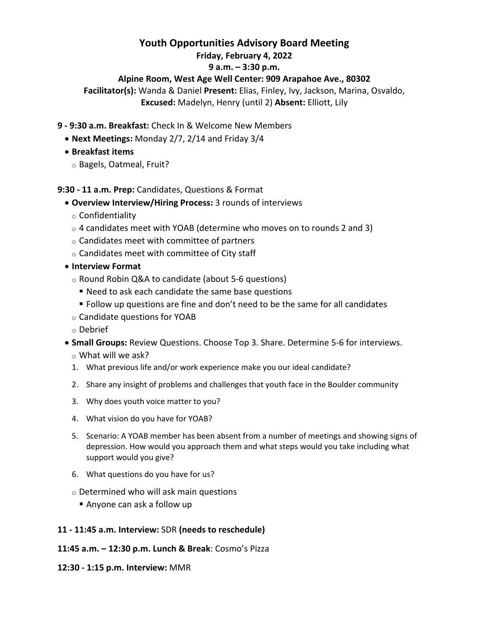# **Youth Opportunities Advisory Board Meeting**

### **Friday, February 4, 2022**

## **9 a.m. – 3:30 p.m.**

## **Alpine Room, West Age Well Center: 909 Arapahoe Ave., 80302**

**Facilitator(s):** Wanda & Daniel **Present:** Elias, Finley, Ivy, Jackson, Marina, Osvaldo, **Excused:** Madelyn, Henry (until 2) **Absent:** Elliott, Lily

- **9 ‐ 9:30 a.m. Breakfast:** Check In & Welcome New Members
	- **Next Meetings:** Monday 2/7, 2/14 and Friday 3/4
	- **Breakfast items**
		- o Bagels, Oatmeal, Fruit?

### **9:30 ‐ 11 a.m. Prep:** Candidates, Questions & Format

- **Overview Interview/Hiring Process:** 3 rounds of interviews
	- o Confidentiality
	- $\circ$  4 candidates meet with YOAB (determine who moves on to rounds 2 and 3)
	- o Candidates meet with committee of partners
	- o Candidates meet with committee of City staff
- **Interview Format**
	- o Round Robin Q&A to candidate (about 5‐6 questions)
		- Need to ask each candidate the same base questions
		- Follow up questions are fine and don't need to be the same for all candidates
	- o Candidate questions for YOAB
	- o Debrief
- **Small Groups:** Review Questions. Choose Top 3. Share. Determine 5‐6 for interviews.
	- o What will we ask?
	- 1. What previous life and/or work experience make you our ideal candidate?
	- 2. Share any insight of problems and challenges that youth face in the Boulder community
	- 3. Why does youth voice matter to you?
	- 4. What vision do you have for YOAB?
	- 5. Scenario: A YOAB member has been absent from a number of meetings and showing signs of depression. How would you approach them and what steps would you take including what support would you give?
	- 6. What questions do you have for us?
	- o Determined who will ask main questions
		- Anyone can ask a follow up

### **11 ‐ 11:45 a.m. Interview:** SDR **(needs to reschedule)**

- **11:45 a.m. – 12:30 p.m. Lunch & Break**: Cosmo's Pizza
- **12:30 ‐ 1:15 p.m. Interview:** MMR